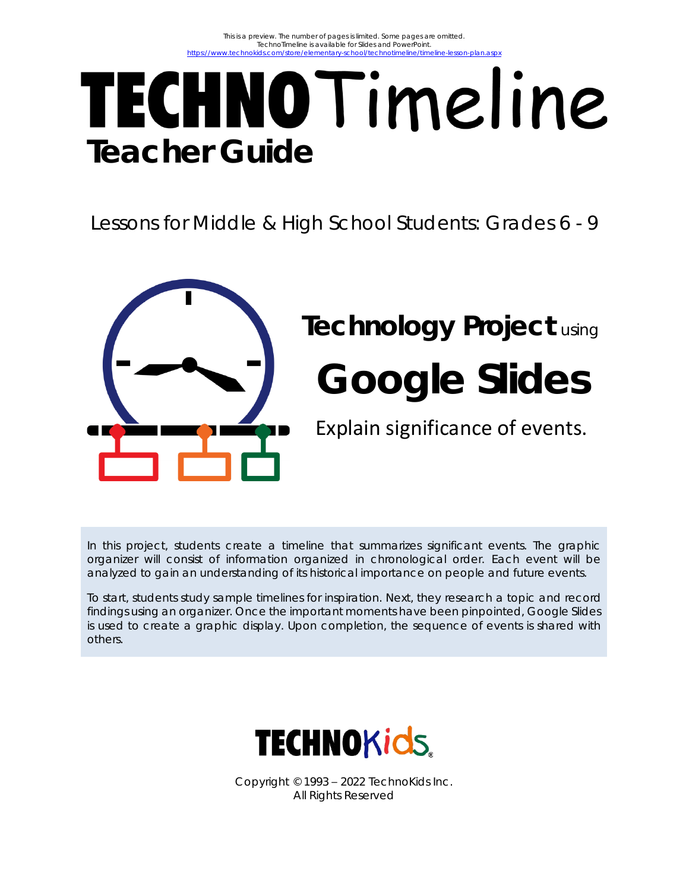# TECHNOTimeline **Teacher Guide**

Lessons for Middle & High School Students: Grades 6 - 9



## **Technology Project** using **Google Slides**

Explain significance of events.

In this project, students create a timeline that summarizes significant events. The graphic organizer will consist of information organized in chronological order. Each event will be analyzed to gain an understanding of its historical importance on people and future events.

To start, students study sample timelines for inspiration. Next, they research a topic and record findings using an organizer. Once the important moments have been pinpointed, Google Slides is used to create a graphic display. Upon completion, the sequence of events is shared with others.



Copyright © 1993 – 2022 TechnoKids Inc. All Rights Reserved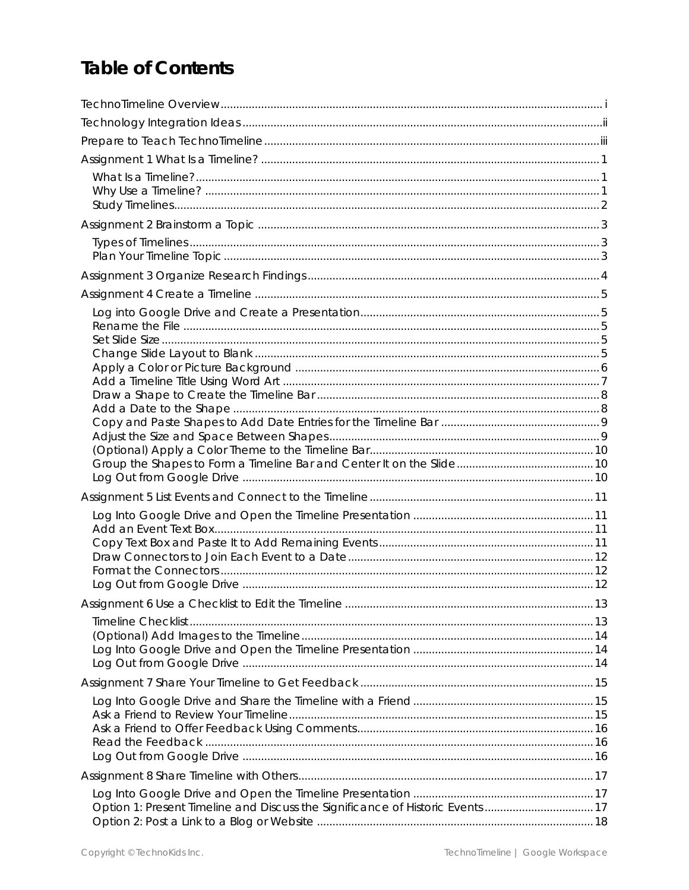## **Table of Contents**

| Option 1: Present Timeline and Discuss the Significance of Historic Events  17 |  |
|--------------------------------------------------------------------------------|--|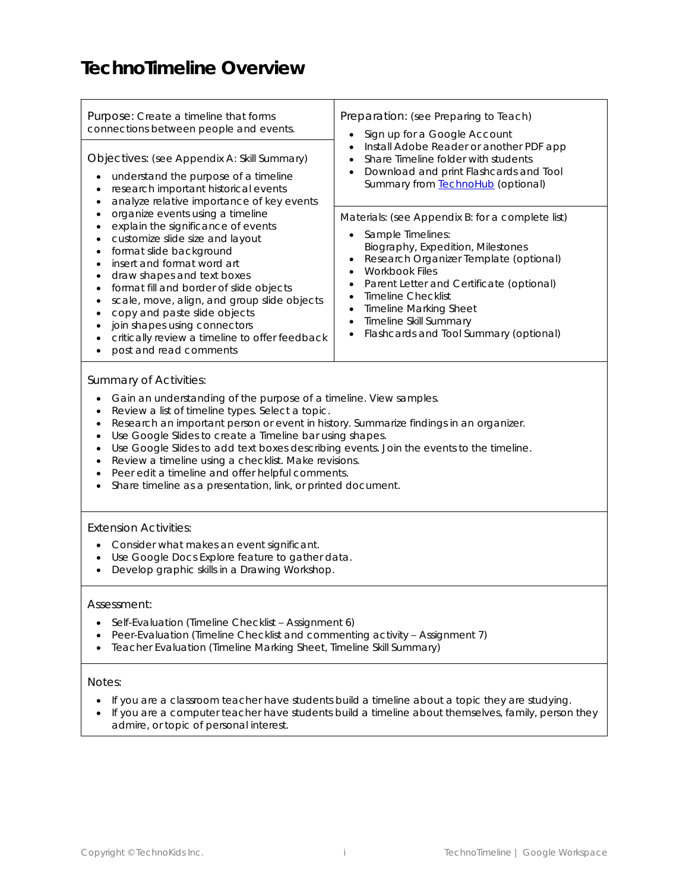### **TechnoTimeline Overview**

| Purpose: Create a timeline that forms<br>connections between people and events.<br>Objectives: (see Appendix A: Skill Summary)<br>understand the purpose of a timeline<br>$\bullet$                                                                                                                                                                                                                                                                                                                                                                                                                                                                                                          | Preparation: (see Preparing to Teach)<br>Sign up for a Google Account<br>$\bullet$<br>Install Adobe Reader or another PDF app<br>$\bullet$<br>Share Timeline folder with students<br>Download and print Flashcards and Tool<br>$\bullet$                                                                                                                                                                                                                                                                 |  |  |
|----------------------------------------------------------------------------------------------------------------------------------------------------------------------------------------------------------------------------------------------------------------------------------------------------------------------------------------------------------------------------------------------------------------------------------------------------------------------------------------------------------------------------------------------------------------------------------------------------------------------------------------------------------------------------------------------|----------------------------------------------------------------------------------------------------------------------------------------------------------------------------------------------------------------------------------------------------------------------------------------------------------------------------------------------------------------------------------------------------------------------------------------------------------------------------------------------------------|--|--|
| research important historical events<br>$\bullet$<br>analyze relative importance of key events<br>$\bullet$<br>organize events using a timeline<br>$\bullet$<br>explain the significance of events<br>$\bullet$<br>customize slide size and layout<br>$\bullet$<br>format slide background<br>$\bullet$<br>insert and format word art<br>$\bullet$<br>draw shapes and text boxes<br>$\bullet$<br>format fill and border of slide objects<br>$\bullet$<br>scale, move, align, and group slide objects<br>٠<br>copy and paste slide objects<br>$\bullet$<br>join shapes using connectors<br>$\bullet$<br>critically review a timeline to offer feedback<br>$\bullet$<br>post and read comments | Summary from TechnoHub (optional)<br>Materials: (see Appendix B: for a complete list)<br>Sample Timelines:<br>$\bullet$<br>Biography, Expedition, Milestones<br>Research Organizer Template (optional)<br>$\bullet$<br><b>Workbook Files</b><br>$\bullet$<br>Parent Letter and Certificate (optional)<br>$\bullet$<br><b>Timeline Checklist</b><br>$\bullet$<br><b>Timeline Marking Sheet</b><br>$\bullet$<br>Timeline Skill Summary<br>$\bullet$<br>Flashcards and Tool Summary (optional)<br>$\bullet$ |  |  |
| Summary of Activities:<br>Gain an understanding of the purpose of a timeline. View samples.<br>$\bullet$<br>Review a list of timeline types. Select a topic.<br>$\bullet$<br>Research an important person or event in history. Summarize findings in an organizer.<br>$\bullet$<br>Use Google Slides to create a Timeline bar using shapes.<br>$\bullet$<br>Use Google Slides to add text boxes describing events. Join the events to the timeline.<br>$\bullet$<br>Review a timeline using a checklist. Make revisions.<br>$\bullet$<br>Peer edit a timeline and offer helpful comments.<br>$\bullet$<br>Share timeline as a presentation, link, or printed document.<br>$\bullet$          |                                                                                                                                                                                                                                                                                                                                                                                                                                                                                                          |  |  |
| <b>Extension Activities:</b><br>Consider what makes an event significant.<br>$\bullet$<br>Use Google Docs Explore feature to gather data.<br>$\bullet$<br>Develop graphic skills in a Drawing Workshop.<br>$\bullet$                                                                                                                                                                                                                                                                                                                                                                                                                                                                         |                                                                                                                                                                                                                                                                                                                                                                                                                                                                                                          |  |  |
| Assessment:<br>Self-Evaluation (Timeline Checklist - Assignment 6)<br>$\bullet$<br>Peer-Evaluation (Timeline Checklist and commenting activity - Assignment 7)<br>Teacher Evaluation (Timeline Marking Sheet, Timeline Skill Summary)                                                                                                                                                                                                                                                                                                                                                                                                                                                        |                                                                                                                                                                                                                                                                                                                                                                                                                                                                                                          |  |  |
| Notes:<br>admire, or topic of personal interest.                                                                                                                                                                                                                                                                                                                                                                                                                                                                                                                                                                                                                                             | If you are a classroom teacher have students build a timeline about a topic they are studying.<br>If you are a computer teacher have students build a timeline about themselves, family, person they                                                                                                                                                                                                                                                                                                     |  |  |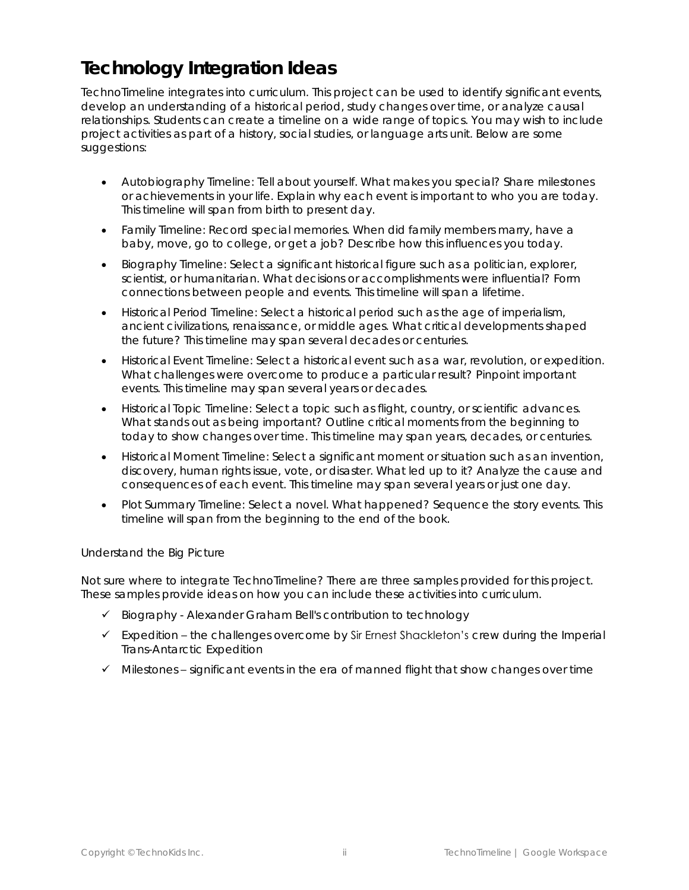### **Technology Integration Ideas**

TechnoTimeline integrates into curriculum. This project can be used to identify significant events, develop an understanding of a historical period, study changes over time, or analyze causal relationships. Students can create a timeline on a wide range of topics. You may wish to include project activities as part of a history, social studies, or language arts unit. Below are some suggestions:

- *Autobiography Timeline:* Tell about yourself. What makes you special? Share milestones or achievements in your life. Explain why each event is important to who you are today. This timeline will span from birth to present day.
- *Family Timeline:* Record special memories. When did family members marry, have a baby, move, go to college, or get a job? Describe how this influences you today.
- *Biography Timeline*: Select a significant historical figure such as a politician, explorer, scientist, or humanitarian. What decisions or accomplishments were influential? Form connections between people and events. This timeline will span a lifetime.
- *Historical Period Timeline:* Select a historical period such as the age of imperialism, ancient civilizations, renaissance, or middle ages. What critical developments shaped the future? This timeline may span several decades or centuries.
- *Historical Event Timeline:* Select a historical event such as a war, revolution, or expedition. What challenges were overcome to produce a particular result? Pinpoint important events. This timeline may span several years or decades.
- *Historical Topic Timeline:* Select a topic such as flight, country, or scientific advances. What stands out as being important? Outline critical moments from the beginning to today to show changes over time. This timeline may span years, decades, or centuries.
- *Historical Moment Timeline:* Select a significant moment or situation such as an invention, discovery, human rights issue, vote, or disaster. What led up to it? Analyze the cause and consequences of each event. This timeline may span several years or just one day.
- *Plot Summary Timeline:* Select a novel. What happened? Sequence the story events. This timeline will span from the beginning to the end of the book.

#### *Understand the Big Picture*

Not sure where to integrate TechnoTimeline? There are three samples provided for this project. These samples provide ideas on how you can include these activities into curriculum.

- ✓ Biography Alexander Graham Bell's contribution to technology
- ✓ Expedition the challenges overcome by Sir Ernest Shackleton's crew during the Imperial Trans-Antarctic Expedition
- $\checkmark$  Milestones significant events in the era of manned flight that show changes over time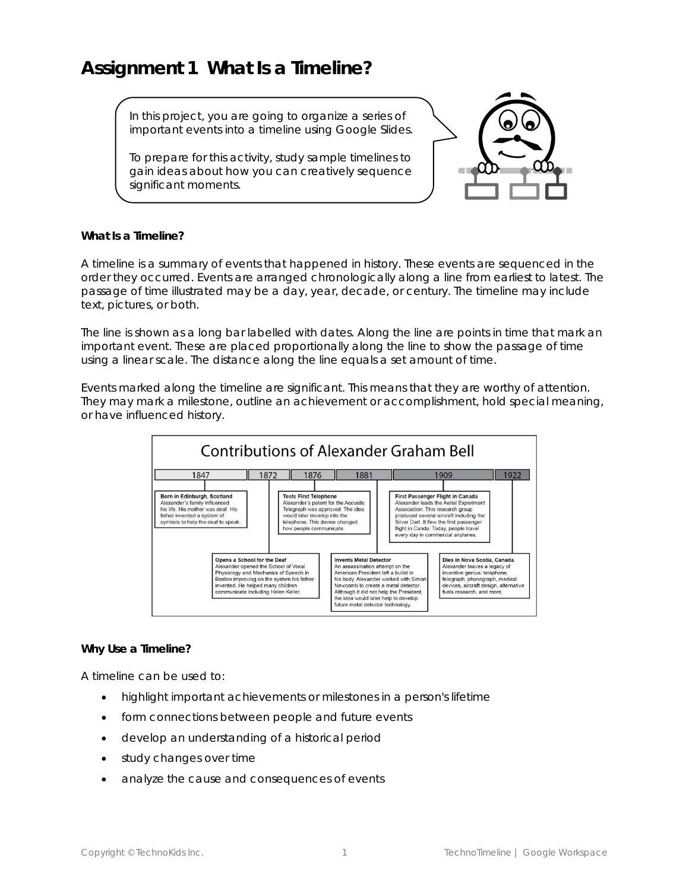#### **Assignment 1 What Is a Timeline?**

In this project, you are going to organize a series of important events into a timeline using Google Slides.

To prepare for this activity, study sample timelines to gain ideas about how you can creatively sequence significant moments.



**What Is a Timeline?**

A timeline is a summary of events that happened in history. These events are sequenced in the order they occurred. Events are arranged chronologically along a line from earliest to latest. The passage of time illustrated may be a day, year, decade, or century. The timeline may include text, pictures, or both.

The line is shown as a long bar labelled with dates. Along the line are points in time that mark an important event. These are placed proportionally along the line to show the passage of time using a linear scale. The distance along the line equals a set amount of time.

Events marked along the timeline are *significant*. This means that they are worthy of attention. They may mark a milestone, outline an achievement or accomplishment, hold special meaning, or have influenced history.



**Why Use a Timeline?**

A timeline can be used to:

- highlight important achievements or milestones in a person's lifetime
- form connections between people and future events
- develop an understanding of a historical period
- study changes over time
- analyze the cause and consequences of events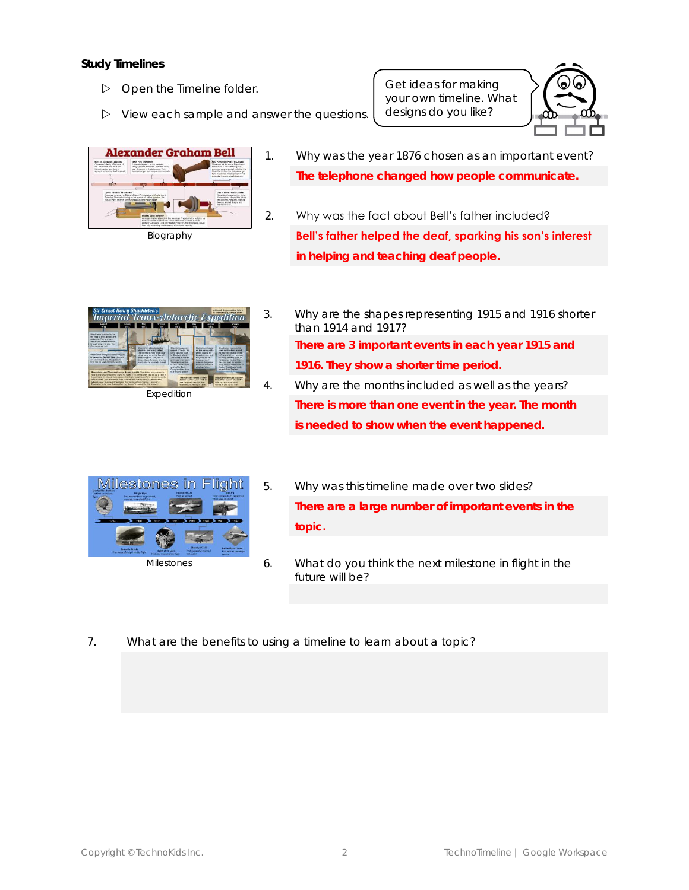#### **Study Timelines**

- Open the *Timeline* folder.
- $\triangleright$  View each sample and answer the questions.

Get ideas for making your own timeline. What designs do you like?





- 1. Why was the year 1876 chosen as an important event? **The telephone changed how people communicate.**
- 2. Why was the fact about Bell's father included? **Bell's father helped the deaf, sparking his son's interest in helping and teaching deaf people.**



3. Why are the shapes representing 1915 and 1916 shorter than 1914 and 1917? **There are 3 important events in each year 1915 and 1916. They show a shorter time period.** 4. Why are the months included as well as the years?

**There is more than one event in the year. The month is needed to show when the event happened.** 



- Milestones
- 5. Why was this timeline made over two slides? **There are a large number of important events in the topic.**
- 6. What do you think the next milestone in flight in the future will be?
- 7. What are the benefits to using a timeline to learn about a topic?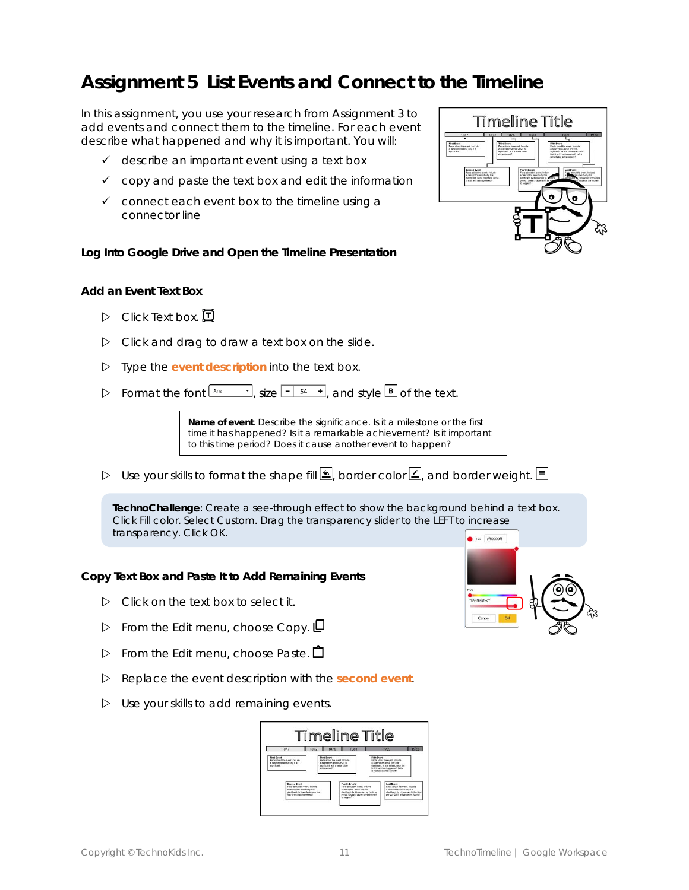#### **Assignment 5 List Events and Connect to the Timeline**

In this assignment, you use your research from Assignment 3 to add events and connect them to the timeline. For each event describe what happened and why it is important. You will:

- ✓ describe an important event using a text box
- $\checkmark$  copy and paste the text box and edit the information
- $\checkmark$  connect each event box to the timeline using a connector line

**Log Into Google Drive and Open the Timeline Presentation**

#### **Add an Event Text Box**

- $\triangleright$  Click Text box.  $\Box$
- $\triangleright$  Click and drag to draw a text box on the slide.
- Type the *event description* into the text box.
- $\triangleright$  Format the font  $\frac{\Delta \text{trial}}{\Delta \text{total}}$ , size  $\boxed{-1.54 +}$ , and style **B** of the text.

**Name of event**. Describe the significance. Is it a milestone or the first time it has happened? Is it a remarkable achievement? Is it important to this time period? Does it cause another event to happen?

D Use your skills to format the shape fill  $\mathbb{E}$ , border color  $\mathbb{E}$ , and border weight.  $\equiv$ 

**TechnoChallenge**: Create a see-through effect to show the background behind a text box. Click *Fill color*. Select *Custom*. Drag the transparency slider to the LEFT to increase transparency. Click *OK*.

**Copy Text Box and Paste It to Add Remaining Events**

- $\triangleright$  Click on the text box to select it.
- $\triangleright$  From the Edit menu, choose Copy.  $\Box$
- $\triangleright$  From the Edit menu, choose Paste.  $\Box$
- Replace the event description with the *second event*.
- $\triangleright$  Use your skills to add remaining events.



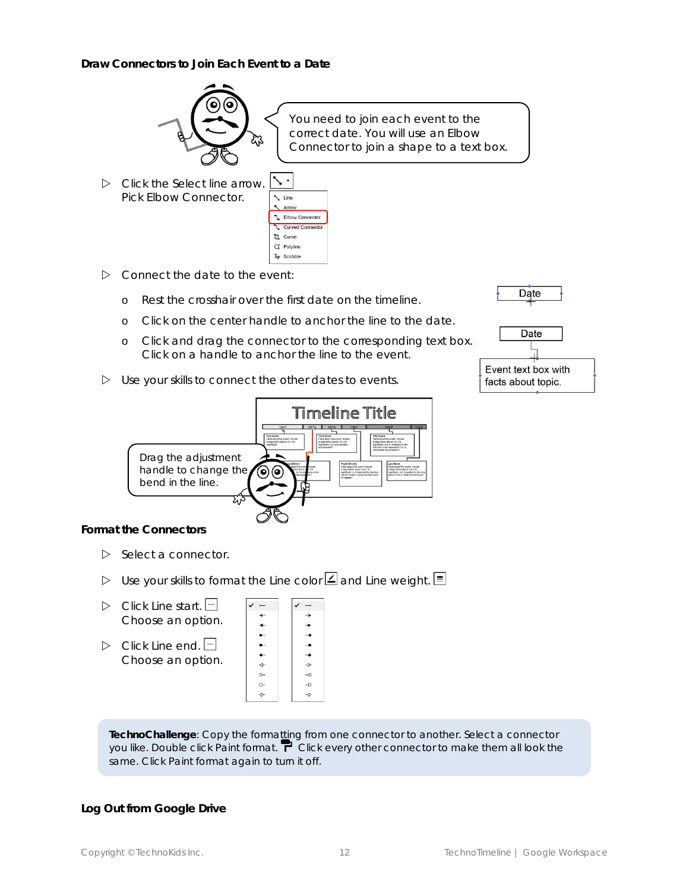**Draw Connectors to Join Each Event to a Date**

![](_page_8_Picture_1.jpeg)

You need to join each event to the correct date. You will use an Elbow Connector to join a shape to a text box.

 Click the *Select* line arrow. Pick *Elbow Connector.*

| Line                      |
|---------------------------|
| Arrow                     |
| . Elbow Connector         |
| <b>L</b> Curved Connector |
| $2$ Curve                 |
| $\sigma$ Polyline         |
| 2 <sub>2</sub> Scribble   |

- $\triangleright$  Connect the date to the event:
	- o Rest the crosshair over the first date on the timeline.
	- o Click on the center handle to anchor the line to the date.
	- o Click and drag the connector to the corresponding text box. Click on a handle to anchor the line to the event.
- $\triangleright$  Use your skills to connect the other dates to events.

![](_page_8_Picture_10.jpeg)

![](_page_8_Picture_11.jpeg)

![](_page_8_Picture_12.jpeg)

**Format the Connectors**

- $\triangleright$  Select a connector.
- Use your skills to format the *Line color* and *Line weight*.
- $\triangleright$  Click Line start.  $\Box$ Choose an option.
- $\triangleright$  Click *Line end.*  $\Box$ Choose an option.

| -         |                       |
|-----------|-----------------------|
| ←         | →                     |
| ↞         | ∸                     |
|           |                       |
| -         | --                    |
|           | ⊸                     |
| ↤         | $\rightarrow$         |
| $\circ$ - | $-\circ$              |
| $-$       | $-\Box$               |
| ∼         | $\overline{\diamond}$ |
|           |                       |

**TechnoChallenge**: Copy the formatting from one connector to another. Select a connector you like. Double click *Paint format*. Click every other connector to make them all look the same. Click *Paint format* again to turn it off.

**Log Out from Google Drive**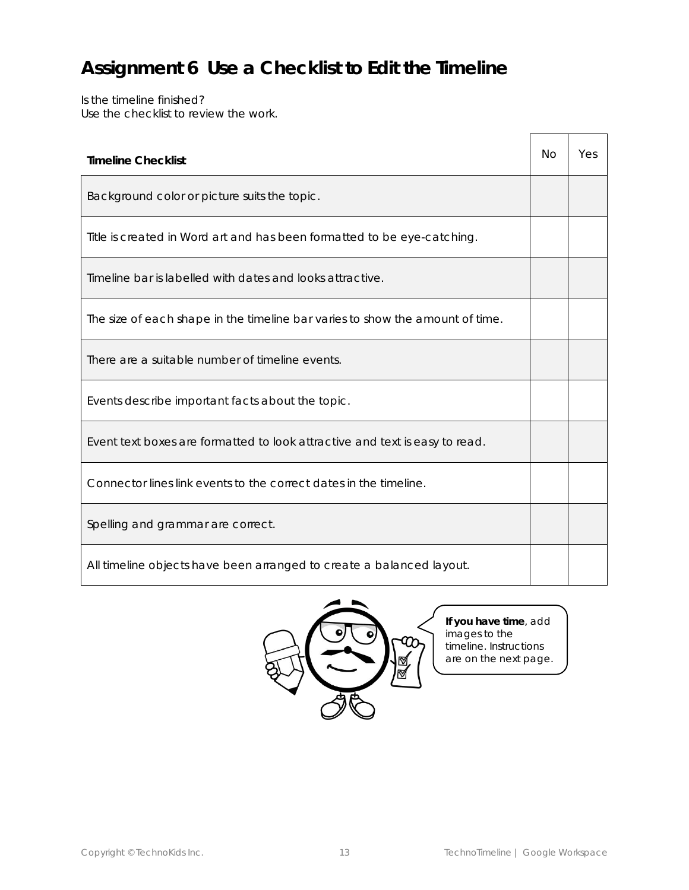### **Assignment 6 Use a Checklist to Edit the Timeline**

Is the timeline finished? Use the checklist to review the work.

| <b>Timeline Checklist</b>                                                     |  |  |
|-------------------------------------------------------------------------------|--|--|
| Background color or picture suits the topic.                                  |  |  |
| Title is created in Word art and has been formatted to be eye-catching.       |  |  |
| Timeline bar is labelled with dates and looks attractive.                     |  |  |
| The size of each shape in the timeline bar varies to show the amount of time. |  |  |
| There are a suitable number of timeline events.                               |  |  |
| Events describe important facts about the topic.                              |  |  |
| Event text boxes are formatted to look attractive and text is easy to read.   |  |  |
| Connector lines link events to the correct dates in the timeline.             |  |  |
| Spelling and grammar are correct.                                             |  |  |
| All timeline objects have been arranged to create a balanced layout.          |  |  |

![](_page_9_Picture_3.jpeg)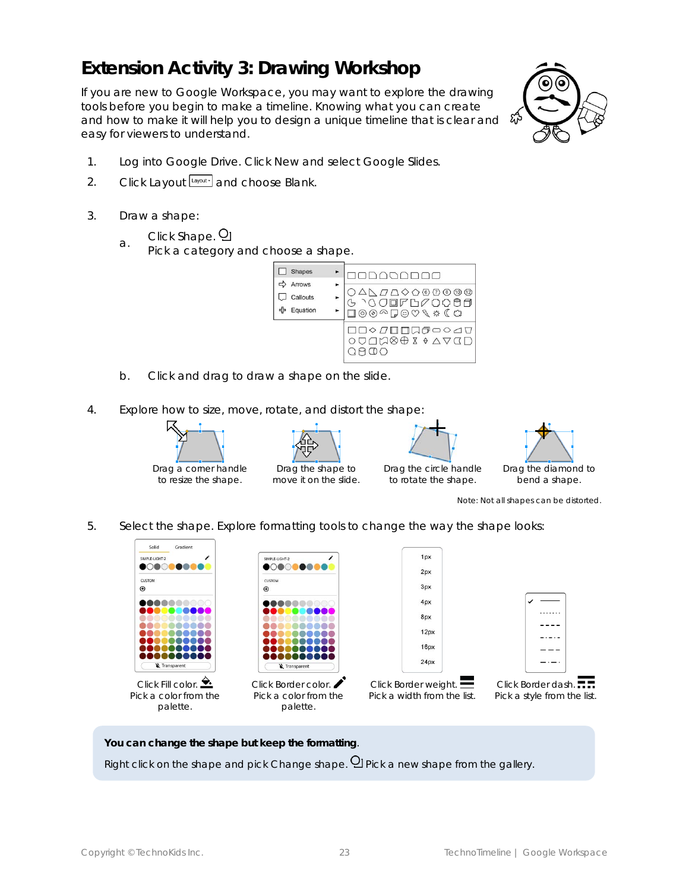#### **Extension Activity 3: Drawing Workshop**

If you are new to Google Workspace, you may want to explore the drawing tools before you begin to make a timeline. Knowing what you can create and how to make it will help you to design a unique timeline that is clear and easy for viewers to understand.

![](_page_10_Picture_2.jpeg)

- 1. Log into Google Drive. *Click* New and select Google Slides.
- 2. Click *Layout* Layout<sup>,</sup> and choose *Blank*.
- 3. Draw a shape:
	- Click *Shape*.
	- a. Pick a category and choose a shape.

![](_page_10_Picture_8.jpeg)

- b. Click and drag to draw a shape on the slide.
- 4. Explore how to size, move, rotate, and distort the shape:

![](_page_10_Picture_11.jpeg)

![](_page_10_Picture_12.jpeg)

move it on the slide.

![](_page_10_Picture_13.jpeg)

to rotate the shape.

![](_page_10_Picture_14.jpeg)

*Note: Not all shapes can be distorted*.

5. Select the shape. Explore formatting tools to change the way the shape looks:

| Solid<br>Gradient                    |                              |                               |                             |
|--------------------------------------|------------------------------|-------------------------------|-----------------------------|
| SIMPLE-LIGHT-2                       | SIMPLE-LIGHT-2               | 1px                           |                             |
| $\circ$ $\circ$<br><b>CONTRACTOR</b> |                              | 2px                           |                             |
| <b>CUSTOM</b><br>$_{\oplus}$         | <b>CUSTOM</b><br>$\bigoplus$ | 3px                           |                             |
|                                      |                              | 4px                           |                             |
|                                      |                              | 8px                           | .                           |
|                                      |                              | 12px                          |                             |
|                                      |                              | 16px                          |                             |
|                                      |                              | 24px                          |                             |
| Transparent                          | Transparent                  |                               |                             |
| Click Fill color. $\sum$             | Click Border color.          | Click Border weight. $\equiv$ | Click Border dash.          |
| Pick a color from the                | Pick a color from the        | Pick a width from the list.   | Pick a style from the list. |
| palette.                             | palette.                     |                               |                             |

**You can change the shape but keep the formatting**. Right click on the shape and pick Change shape. <sup>Q</sup>I Pick a new shape from the gallery.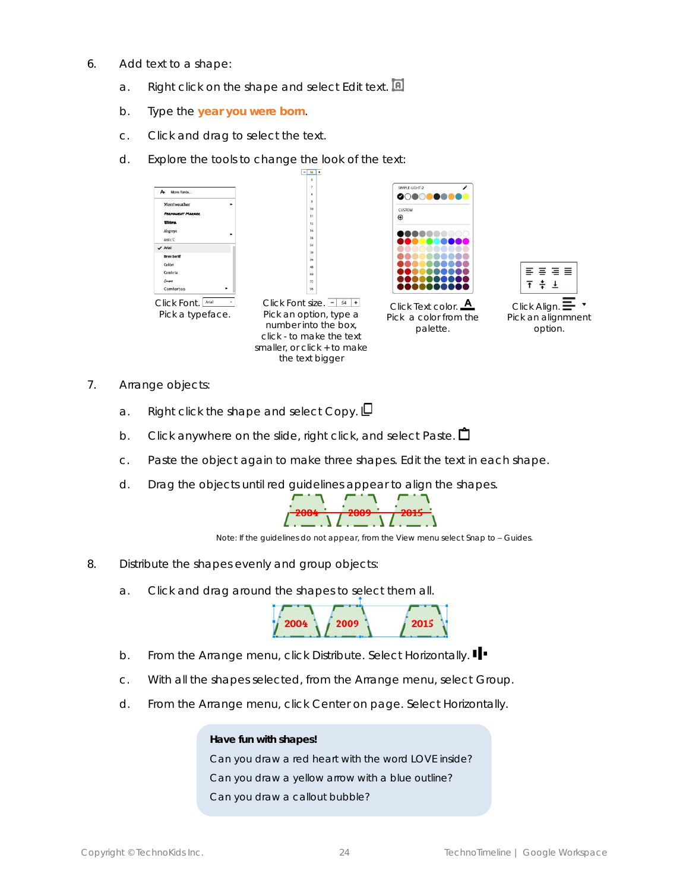- 6. Add text to a shape:
	- a. Right click on the shape and select *Edit text.*
	- b. Type the *year you were born*.
	- c. Click and drag to select the text.
	- d. Explore the tools to change the look of the text:

![](_page_11_Figure_5.jpeg)

- 7. Arrange objects:
	- a. Right click the shape and select *Copy.*
	- b. Click anywhere on the slide, right click, and select *Paste.*
	- c. Paste the object again to make three shapes. Edit the text in each shape.
	- d. Drag the objects until red guidelines appear to align the shapes.

![](_page_11_Figure_11.jpeg)

*Note: If the guidelines do not appear, from the View menu select Snap to - Guides.* 

- 8. Distribute the shapes evenly and group objects:
	- a. Click and drag around the shapes to select them all.

![](_page_11_Figure_15.jpeg)

- b. From the Arrange menu, click *Distribute*. Select *Horizontally*.
- c. With all the shapes selected, from the Arrange menu, select *Group*.
- d. From the Arrange menu, click *Center on page*. Select *Horizontally*.

#### **Have fun with shapes!**

Can you draw a red heart with the word LOVE inside? Can you draw a yellow arrow with a blue outline? Can you draw a callout bubble?